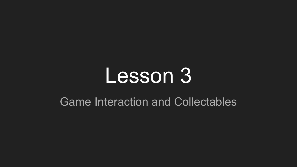## Lesson 3

#### Game Interaction and Collectables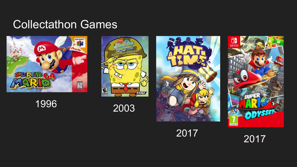### Collectathon Games



<sup>2003</sup>







<sup>2017</sup>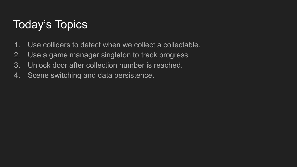## Today's Topics

- 1. Use colliders to detect when we collect a collectable.
- 2. Use a game manager singleton to track progress.
- 3. Unlock door after collection number is reached.
- 4. Scene switching and data persistence.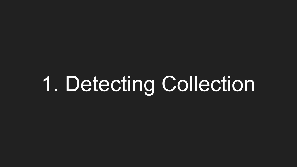# 1. Detecting Collection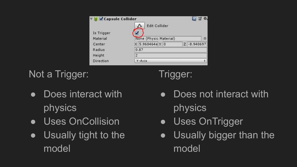| Capsule Collider | Edit Collider                     |  |  |
|------------------|-----------------------------------|--|--|
| Is Trigger       |                                   |  |  |
| Material         | None (Physic Material)            |  |  |
| Center           | X 5.960464e Y 0<br>$Z - 8.940697$ |  |  |
| Radius           | 0.87                              |  |  |
| Height           | $\overline{2}$                    |  |  |
| <b>Direction</b> | <b>Y-Axis</b>                     |  |  |

Not a Trigger:

- Does interact with physics
- Uses OnCollision
- Usually tight to the model

Trigger:

- Does not interact with physics
- Uses OnTrigger
- Usually bigger than the model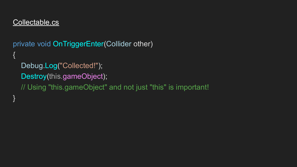private void OnTriggerEnter(Collider other) { Debug.Log("Collected!"); Destroy(this.gameObject); // Using "this.gameObject" and not just "this" is important! }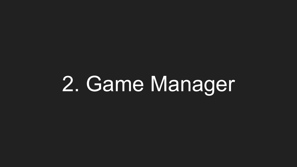# 2. Game Manager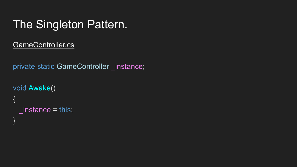## The Singleton Pattern.

#### GameController.cs

```
private static GameController _instance;
```

```
void Awake()
{
  _instance = this;
```
}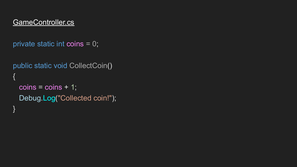```
private static int coins = 0;
```

```
public static void CollectCoin()
\{coins = coins + 1; Debug.Log("Collected coin!");
}
```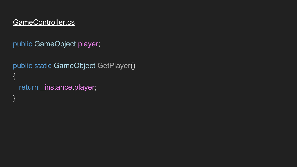public GameObject player;

```
public static GameObject GetPlayer()
{
  return _instance.player;
}<br>}
```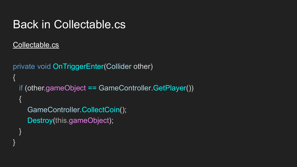### Back in Collectable.cs

#### Collectable.cs

}

```
private void OnTriggerEnter(Collider other)
{
  if (other.gameObject == GameController.GetPlayer())
   {
     GameController.CollectCoin();
     Destroy(this.gameObject);
 }
```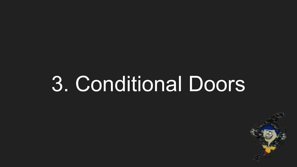## 3. Conditional Doors

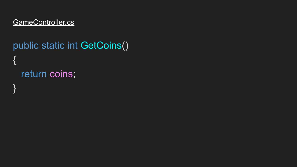## public static int GetCoins() { return coins; }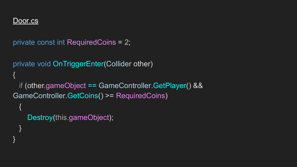#### Door.cs

}

}

```
private const int RequiredCoins = 2;
```

```
private void OnTriggerEnter(Collider other)
{
  if (other.gameObject == GameController.GetPlayer() && 
GameController.GetCoins() >= RequiredCoins)
 {
     Destroy(this.gameObject);
```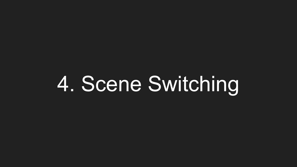# 4. Scene Switching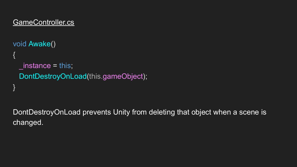#### GameController.cs

}

```
void Awake()
{
  instance = this;
  DontDestroyOnLoad(this.gameObject);
```
DontDestroyOnLoad prevents Unity from deleting that object when a scene is changed.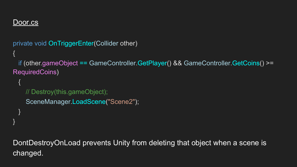#### Door.cs

{

 $\mathcal{R}$ 

}

}

```
private void OnTriggerEnter(Collider other)
```
 if (other.gameObject == GameController.GetPlayer() && GameController.GetCoins() >= RequiredCoins)

```
 // Destroy(this.gameObject);
 SceneManager.LoadScene("Scene2");
```
DontDestroyOnLoad prevents Unity from deleting that object when a scene is changed.